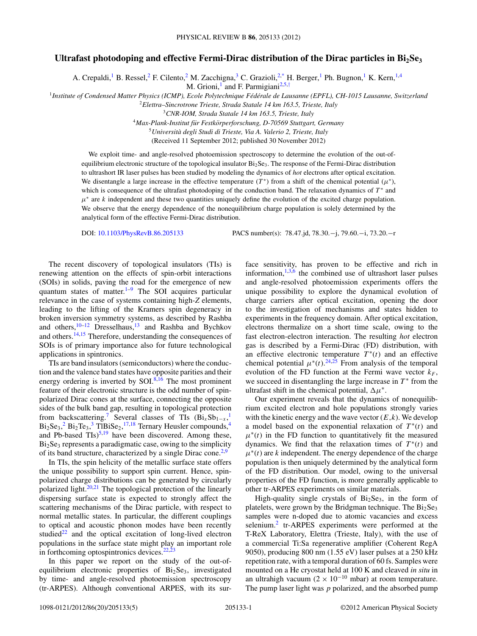## Ultrafast photodoping and effective Fermi-Dirac distribution of the Dirac particles in Bi<sub>2</sub>Se<sub>3</sub>

A. Crepaldi,<sup>1</sup> B. Ressel,<sup>2</sup> F. Cilento,<sup>2</sup> M. Zacchigna,<sup>3</sup> C. Grazioli,<sup>2[,\\*](#page-3-0)</sup> H. Berger,<sup>1</sup> Ph. Bugnon,<sup>1</sup> K. Kern,<sup>1,4</sup>

M. Grioni,<sup>1</sup> and F. Parmigiani<sup>2,5,[†](#page-3-0)</sup>

<sup>1</sup>Institute of Condensed Matter Physics (ICMP), Ecole Polytechnique Fédérale de Lausanne (EPFL), CH-1015 Lausanne, Switzerland

<sup>2</sup>*Elettra–Sincrotrone Trieste, Strada Statale 14 km 163.5, Trieste, Italy*

<sup>3</sup>*CNR-IOM, Strada Statale 14 km 163.5, Trieste, Italy*

<sup>4</sup>*Max-Plank-Institut fur Festk ¨ orperforschung, D-70569 Stuttgart, Germany ¨*

<sup>5</sup>*Universita degli Studi di Trieste, Via A. Valerio 2, Trieste, Italy `*

(Received 11 September 2012; published 30 November 2012)

We exploit time- and angle-resolved photoemission spectroscopy to determine the evolution of the out-ofequilibrium electronic structure of the topological insulator  $Bi_2Se_3$ . The response of the Fermi-Dirac distribution to ultrashort IR laser pulses has been studied by modeling the dynamics of *hot* electrons after optical excitation. We disentangle a large increase in the effective temperature  $(T^*)$  from a shift of the chemical potential  $(\mu^*)$ , which is consequence of the ultrafast photodoping of the conduction band. The relaxation dynamics of *T* <sup>∗</sup> and  $\mu^*$  are *k* independent and these two quantities uniquely define the evolution of the excited charge population. We observe that the energy dependence of the nonequilibrium charge population is solely determined by the analytical form of the effective Fermi-Dirac distribution.

DOI: [10.1103/PhysRevB.86.205133](http://dx.doi.org/10.1103/PhysRevB.86.205133) PACS number(s): 78*.*47*.*jd, 78*.*30*.*−j, 79*.*60*.*−i, 73*.*20*.*−r

The recent discovery of topological insulators (TIs) is renewing attention on the effects of spin-orbit interactions (SOIs) in solids, paving the road for the emergence of new quantum states of matter.<sup>[1–](#page-3-0)[9](#page-4-0)</sup> The SOI acquires particular relevance in the case of systems containing high-*Z* elements, leading to the lifting of the Kramers spin degeneracy in broken inversion symmetry systems, as described by Rashba and others[,10–12](#page-4-0) Dresselhaus[,13](#page-4-0) and Rashba and Bychkov and others. $14,15$  Therefore, understanding the consequences of SOIs is of primary importance also for future technological applications in spintronics.

TIs are band insulators (semiconductors) where the conduction and the valence band states have opposite parities and their energy ordering is inverted by  $SOI.^{8,16}$  $SOI.^{8,16}$  $SOI.^{8,16}$  The most prominent feature of their electronic structure is the odd number of spinpolarized Dirac cones at the surface, connecting the opposite sides of the bulk band gap, resulting in topological protection from backscattering.<sup>7</sup> Several classes of TIs  $(Bi_xSb_{1-x})$  $(Bi_xSb_{1-x})$  $(Bi_xSb_{1-x})$  $Bi_2Se_3$  $Bi_2Se_3$  $Bi_2Se_3$  $Bi_2Se_3$ ,  $2 Bi_2Te_3$ ,  $3 This Se_2$ ,  $17,18$  Ternary Heusler compounds,  $4$ and Pb-based  $\text{TIs}$ )<sup>5,19</sup> have been discovered. Among these,  $Bi<sub>2</sub>Se<sub>3</sub>$  represents a paradigmatic case, owing to the simplicity of its band structure, characterized by a single Dirac cone.<sup>[2,](#page-3-0)[9](#page-4-0)</sup>

In TIs, the spin helicity of the metallic surface state offers the unique possibility to support spin current. Hence, spinpolarized charge distributions can be generated by circularly polarized light. $20,21$  The topological protection of the linearly dispersing surface state is expected to strongly affect the scattering mechanisms of the Dirac particle, with respect to normal metallic states. In particular, the different couplings to optical and acoustic phonon modes have been recently studied $^{22}$  and the optical excitation of long-lived electron populations in the surface state might play an important role in forthcoming optospintronics devices. $22,23$ 

In this paper we report on the study of the out-ofequilibrium electronic properties of  $Bi<sub>2</sub>Se<sub>3</sub>$ , investigated by time- and angle-resolved photoemission spectroscopy (tr-ARPES). Although conventional ARPES, with its surface sensitivity, has proven to be effective and rich in information,  $1,3,6$  $1,3,6$  the combined use of ultrashort laser pulses and angle-resolved photoemission experiments offers the unique possibility to explore the dynamical evolution of charge carriers after optical excitation, opening the door to the investigation of mechanisms and states hidden to experiments in the frequency domain. After optical excitation, electrons thermalize on a short time scale, owing to the fast electron-electron interaction. The resulting *hot* electron gas is described by a Fermi-Dirac (FD) distribution, with an effective electronic temperature  $T^*(t)$  and an effective chemical potential  $\mu^*(t)$ .<sup>[24,25](#page-4-0)</sup> From analysis of the temporal evolution of the FD function at the Fermi wave vector  $k_F$ , we succeed in disentangling the large increase in  $T^*$  from the ultrafast shift in the chemical potential,  $\Delta \mu^*$ .

Our experiment reveals that the dynamics of nonequilibrium excited electron and hole populations strongly varies with the kinetic energy and the wave vector  $(E, k)$ . We develop a model based on the exponential relaxation of  $T^*(t)$  and  $\mu^*(t)$  in the FD function to quantitatively fit the measured dynamics. We find that the relaxation times of  $T^*(t)$  and  $\mu^*(t)$  are *k* independent. The energy dependence of the charge population is then uniquely determined by the analytical form of the FD distribution. Our model, owing to the universal properties of the FD function, is more generally applicable to other tr-ARPES experiments on similar materials.

High-quality single crystals of  $Bi<sub>2</sub>Se<sub>3</sub>$ , in the form of platelets, were grown by the Bridgman technique. The  $Bi<sub>2</sub>Se<sub>3</sub>$ samples were n-doped due to atomic vacancies and excess selenium.<sup>2</sup> tr-ARPES experiments were performed at the T-ReX Laboratory, Elettra (Trieste, Italy), with the use of a commercial Ti:Sa regenerative amplifier (Coherent RegA 9050), producing 800 nm (1.55 eV) laser pulses at a 250 kHz repetition rate, with a temporal duration of 60 fs. Samples were mounted on a He cryostat held at 100 K and cleaved *in situ* in an ultrahigh vacuum (2 × 10<sup>-10</sup> mbar) at room temperature. The pump laser light was *p* polarized, and the absorbed pump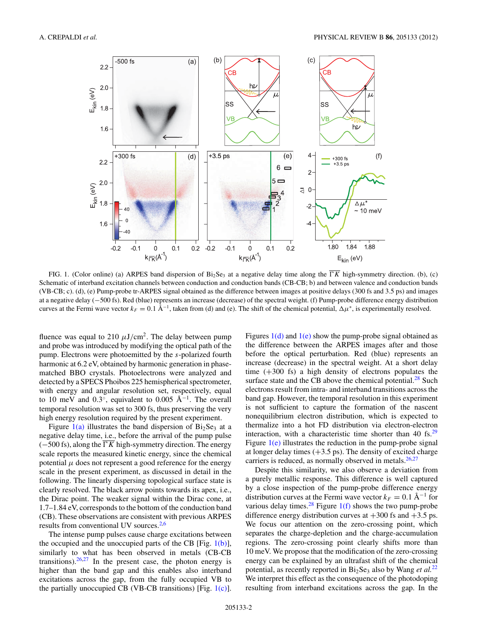<span id="page-1-0"></span>

FIG. 1. (Color online) (a) ARPES band dispersion of  $Bi_2Se_3$  at a negative delay time along the  $\overline{TK}$  high-symmetry direction. (b), (c) Schematic of interband excitation channels between conduction and conduction bands (CB-CB; b) and between valence and conduction bands (VB-CB; c). (d), (e) Pump-probe tr-ARPES signal obtained as the difference between images at positive delays (300 fs and 3.5 ps) and images at a negative delay (−500 fs). Red (blue) represents an increase (decrease) of the spectral weight. (f) Pump-probe difference energy distribution curves at the Fermi wave vector  $k_F = 0.1 \text{ Å}^{-1}$ , taken from (d) and (e). The shift of the chemical potential,  $\Delta \mu^*$ , is experimentally resolved.

fluence was equal to 210  $\mu$ J/cm<sup>2</sup>. The delay between pump and probe was introduced by modifying the optical path of the pump. Electrons were photoemitted by the *s*-polarized fourth harmonic at  $6.2$  eV, obtained by harmonic generation in phasematched BBO crystals. Photoelectrons were analyzed and detected by a SPECS Phoibos 225 hemispherical spectrometer, with energy and angular resolution set, respectively, equal to 10 meV and  $0.3^\circ$ , equivalent to  $0.005 \text{ Å}^{-1}$ . The overall temporal resolution was set to 300 fs, thus preserving the very high energy resolution required by the present experiment.

Figure  $1(a)$  illustrates the band dispersion of  $Bi<sub>2</sub>Se<sub>3</sub>$  at a negative delay time, i.e., before the arrival of the pump pulse  $(-500 \text{ fs})$ , along the  $\overline{K}$  high-symmetry direction. The energy scale reports the measured kinetic energy, since the chemical potential  $\mu$  does not represent a good reference for the energy scale in the present experiment, as discussed in detail in the following. The linearly dispersing topological surface state is clearly resolved. The black arrow points towards its apex, i.e., the Dirac point. The weaker signal within the Dirac cone, at 1.7–1.84 eV, corresponds to the bottom of the conduction band (CB). These observations are consistent with previous ARPES results from conventional UV sources.<sup>2,[6](#page-4-0)</sup>

The intense pump pulses cause charge excitations between the occupied and the unoccupied parts of the CB [Fig.  $1(b)$ ], similarly to what has been observed in metals (CB-CB transitions). $26,27$  In the present case, the photon energy is higher than the band gap and this enables also interband excitations across the gap, from the fully occupied VB to the partially unoccupied CB (VB-CB transitions) [Fig.  $1(c)$ ].

Figures  $1(d)$  and  $1(e)$  show the pump-probe signal obtained as the difference between the ARPES images after and those before the optical perturbation. Red (blue) represents an increase (decrease) in the spectral weight. At a short delay time (+300 fs) a high density of electrons populates the surface state and the CB above the chemical potential.<sup>[28](#page-4-0)</sup> Such electrons result from intra- and interband transitions across the band gap. However, the temporal resolution in this experiment is not sufficient to capture the formation of the nascent nonequilibrium electron distribution, which is expected to thermalize into a hot FD distribution via electron-electron interaction, with a characteristic time shorter than 40 fs. $^{29}$  $^{29}$  $^{29}$ Figure  $1(e)$  illustrates the reduction in the pump-probe signal at longer delay times  $(+3.5 \text{ ps})$ . The density of excited charge carriers is reduced, as normally observed in metals.<sup>26,27</sup>

Despite this similarity, we also observe a deviation from a purely metallic response. This difference is well captured by a close inspection of the pump-probe difference energy distribution curves at the Fermi wave vector  $k_F = 0.1 \text{ Å}^{-1}$  for various delay times.<sup>[28](#page-4-0)</sup> Figure  $1(f)$  shows the two pump-probe difference energy distribution curves at  $+300$  fs and  $+3.5$  ps. We focus our attention on the zero-crossing point, which separates the charge-depletion and the charge-accumulation regions. The zero-crossing point clearly shifts more than 10 meV. We propose that the modification of the zero-crossing energy can be explained by an ultrafast shift of the chemical potential, as recently reported in  $Bi<sub>2</sub>Se<sub>3</sub>$  also by Wang *et al.*<sup>[22](#page-4-0)</sup> We interpret this effect as the consequence of the photodoping resulting from interband excitations across the gap. In the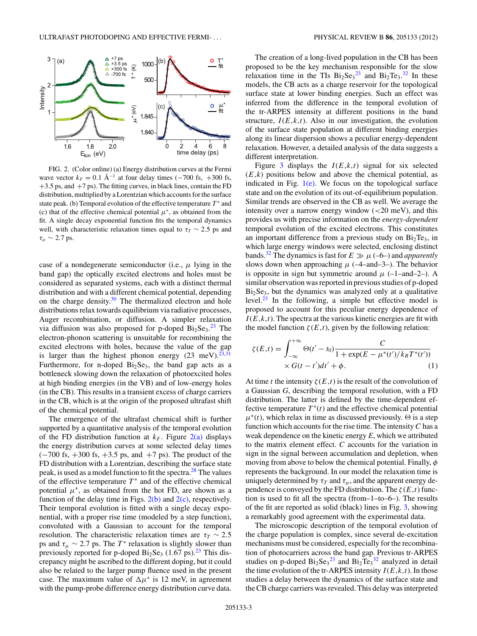<span id="page-2-0"></span>

FIG. 2. (Color online) (a) Energy distribution curves at the Fermi wave vector  $k_F = 0.1 \text{ Å}^{-1}$  at four delay times (-700 fs, +300 fs,  $+3.5$  ps, and  $+7$  ps). The fitting curves, in black lines, contain the FD distribution, multiplied by a Lorentzian which accounts for the surface state peak. (b) Temporal evolution of the effective temperature  $T^*$  and (c) that of the effective chemical potential  $\mu^*$ , as obtained from the fit. A single decay exponential function fits the temporal dynamics well, with characteristic relaxation times equal to  $\tau_T \sim 2.5$  ps and *τμ* ∼ 2*.*7 ps.

case of a nondegenerate semiconductor (i.e.,  $\mu$  lying in the band gap) the optically excited electrons and holes must be considered as separated systems, each with a distinct thermal distribution and with a different chemical potential, depending on the charge density. $30$  The thermalized electron and hole distributions relax towards equilibrium via radiative processes, Auger recombination, or diffusion. A simpler relaxation via diffusion was also proposed for p-doped  $Bi<sub>2</sub>Se<sub>3</sub>.<sup>23</sup>$  $Bi<sub>2</sub>Se<sub>3</sub>.<sup>23</sup>$  $Bi<sub>2</sub>Se<sub>3</sub>.<sup>23</sup>$  The electron-phonon scattering is unsuitable for recombining the excited electrons with holes, because the value of the gap is larger than the highest phonon energy  $(23 \text{ meV})^{23,31}$ Furthermore, for n-doped  $Bi<sub>2</sub>Se<sub>3</sub>$ , the band gap acts as a bottleneck slowing down the relaxation of photoexcited holes at high binding energies (in the VB) and of low-energy holes (in the CB). This results in a transient excess of charge carriers in the CB, which is at the origin of the proposed ultrafast shift of the chemical potential.

The emergence of the ultrafast chemical shift is further supported by a quantitative analysis of the temporal evolution of the FD distribution function at  $k_F$ . Figure  $2(a)$  displays the energy distribution curves at some selected delay times  $(-700 \text{ fs}, +300 \text{ fs}, +3.5 \text{ ps}, \text{ and } +7 \text{ ps})$ . The product of the FD distribution with a Lorentzian, describing the surface state peak, is used as a model function to fit the spectra[.28](#page-4-0) The values of the effective temperature  $T^*$  and of the effective chemical potential  $\mu^*$ , as obtained from the hot FD, are shown as a function of the delay time in Figs.  $2(b)$  and  $2(c)$ , respectively. Their temporal evolution is fitted with a single decay exponential, with a proper rise time (modeled by a step function), convoluted with a Gaussian to account for the temporal resolution. The characteristic relaxation times are  $\tau_T \sim 2.5$ ps and  $\tau_{\mu} \sim 2.7$  ps. The  $T^*$  relaxation is slightly slower than previously reported for p-doped  $Bi<sub>2</sub>Se<sub>3</sub>$  (1.67 ps).<sup>[23](#page-4-0)</sup> This discrepancy might be ascribed to the different doping, but it could also be related to the larger pump fluence used in the present case. The maximum value of  $\Delta \mu^*$  is 12 meV, in agreement with the pump-probe difference energy distribution curve data.

The creation of a long-lived population in the CB has been proposed to be the key mechanism responsible for the slow relaxation time in the TIs  $Bi_2Se_3^{23}$  $Bi_2Se_3^{23}$  $Bi_2Se_3^{23}$  and  $Bi_2Te_3^{32}$  $Bi_2Te_3^{32}$  $Bi_2Te_3^{32}$  In these models, the CB acts as a charge reservoir for the topological surface state at lower binding energies. Such an effect was inferred from the difference in the temporal evolution of the tr-ARPES intensity at different positions in the band structure,  $I(E, k, t)$ . Also in our investigation, the evolution of the surface state population at different binding energies along its linear dispersion shows a peculiar energy-dependent relaxation. However, a detailed analysis of the data suggests a different interpretation.

Figure [3](#page-3-0) displays the  $I(E, k, t)$  signal for six selected  $(E, k)$  positions below and above the chemical potential, as indicated in Fig.  $1(e)$ . We focus on the topological surface state and on the evolution of its out-of-equilibrium population. Similar trends are observed in the CB as well. We average the intensity over a narrow energy window (*<*20 meV), and this provides us with precise information on the *energy-dependent* temporal evolution of the excited electrons. This constitutes an important difference from a previous study on  $Bi<sub>2</sub>Te<sub>3</sub>$ , in which large energy windows were selected, enclosing distinct bands.<sup>32</sup> The dynamics is fast for  $E \gg \mu$  (–6–) and *apparently* slows down when approaching  $\mu$  ( $-4$ –and $-3$ –). The behavior is opposite in sign but symmetric around  $\mu$  (-1–and–2–). A similar observation was reported in previous studies of p-doped  $Bi<sub>2</sub>Se<sub>3</sub>$ , but the dynamics was analyzed only at a qualitative level.[23](#page-4-0) In the following, a simple but effective model is proposed to account for this peculiar energy dependence of  $I(E, k, t)$ . The spectra at the various kinetic energies are fit with the model function  $\zeta(E,t)$ , given by the following relation:

$$
\zeta(E,t) = \int_{-\infty}^{+\infty} \Theta(t'-t_0) \frac{C}{1 + \exp(E - \mu^*(t') / k_B T^*(t'))} \times G(t-t') dt' + \phi.
$$
 (1)

At time *t* the intensity  $\zeta(E,t)$  is the result of the convolution of a Gaussian *G*, describing the temporal resolution, with a FD distribution. The latter is defined by the time-dependent effective temperature  $T^*(t)$  and the effective chemical potential  $\mu^*(t)$ , which relax in time as discussed previously.  $\Theta$  is a step function which accounts for the rise time. The intensity *C* has a weak dependence on the kinetic energy *E*, which we attributed to the matrix element effect. *C* accounts for the variation in sign in the signal between accumulation and depletion, when moving from above to below the chemical potential. Finally, *φ* represents the background. In our model the relaxation time is uniquely determined by  $\tau_T$  and  $\tau_u$ , and the apparent energy dependence is conveyed by the FD distribution. The  $\zeta(E,t)$  function is used to fit all the spectra (from–1–to–6–). The results of the fit are reported as solid (black) lines in Fig. [3,](#page-3-0) showing a remarkably good agreement with the experimental data.

The microscopic description of the temporal evolution of the charge population is complex, since several de-excitation mechanisms must be considered, especially for the recombination of photocarriers across the band gap. Previous tr-ARPES studies on p-doped  $Bi_2Se_3^{23}$  $Bi_2Se_3^{23}$  $Bi_2Se_3^{23}$  and  $Bi_2Te_3^{32}$  $Bi_2Te_3^{32}$  $Bi_2Te_3^{32}$  analyzed in detail the time evolution of the tr-ARPES intensity  $I(E, k, t)$ . In those studies a delay between the dynamics of the surface state and the CB charge carriers was revealed. This delay was interpreted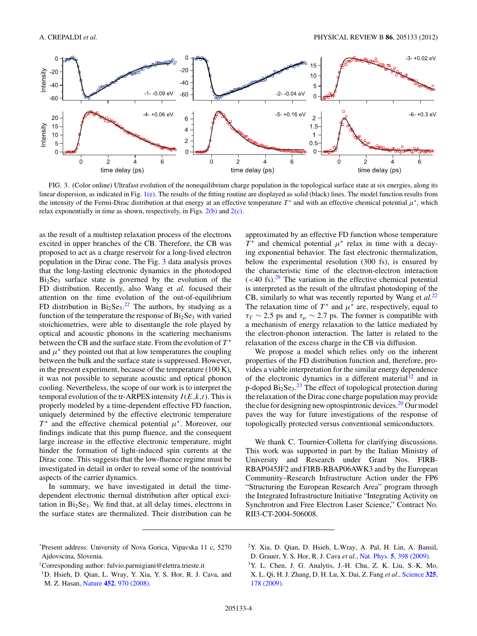<span id="page-3-0"></span>

FIG. 3. (Color online) Ultrafast evolution of the nonequilibrium charge population in the topological surface state at six energies, along its linear dispersion, as indicated in Fig.  $1(e)$ . The results of the fitting routine are displayed as solid (black) lines. The model function results from the intensity of the Fermi-Dirac distribution at that energy at an effective temperature  $T^*$  and with an effective chemical potential  $\mu^*$ , which relax exponentially in time as shown, respectively, in Figs.  $2(b)$  and  $2(c)$ .

as the result of a multistep relaxation process of the electrons excited in upper branches of the CB. Therefore, the CB was proposed to act as a charge reservoir for a long-lived electron population in the Dirac cone. The Fig. 3 data analysis proves that the long-lasting electronic dynamics in the photodoped  $Bi<sub>2</sub>Se<sub>3</sub>$  surface state is governed by the evolution of the FD distribution. Recently, also Wang et *al.* focused their attention on the time evolution of the out-of-equilibrium FD distribution in  $Bi_2Se_3$ .<sup>[22](#page-4-0)</sup> The authors, by studying as a function of the temperature the response of  $Bi<sub>2</sub>Se<sub>3</sub>$  with varied stoichiometries, were able to disentangle the role played by optical and acoustic phonons in the scattering mechanisms between the CB and the surface state. From the evolution of *T* <sup>∗</sup> and  $\mu^*$  they pointed out that at low temperatures the coupling between the bulk and the surface state is suppressed. However, in the present experiment, because of the temperature (100 K), it was not possible to separate acoustic and optical phonon cooling. Nevertheless, the scope of our work is to interpret the temporal evolution of the tr-ARPES intensity  $I(E, k, t)$ . This is properly modeled by a time-dependent effective FD function, uniquely determined by the effective electronic temperature *T*<sup>∗</sup> and the effective chemical potential *μ*<sup>∗</sup>. Moreover, our findings indicate that this pump fluence, and the consequent large increase in the effective electronic temperature, might hinder the formation of light-induced spin currents at the Dirac cone. This suggests that the low-fluence regime must be investigated in detail in order to reveal some of the nontrivial aspects of the carrier dynamics.

In summary, we have investigated in detail the timedependent electronic thermal distribution after optical excitation in  $Bi<sub>2</sub>Se<sub>3</sub>$ . We find that, at all delay times, electrons in the surface states are thermalized. Their distribution can be approximated by an effective FD function whose temperature  $T^*$  and chemical potential  $\mu^*$  relax in time with a decaying exponential behavior. The fast electronic thermalization, below the experimental resolution (300 fs), is ensured by the characteristic time of the electron-electron interaction  $(<$  40 fs).<sup>[29](#page-4-0)</sup> The variation in the effective chemical potential is interpreted as the result of the ultrafast photodoping of the CB, similarly to what was recently reported by Wang et *al.*[22](#page-4-0) The relaxation time of  $T^*$  and  $\mu^*$  are, respectively, equal to  $\tau_T \sim 2.5$  ps and  $\tau_\mu \sim 2.7$  ps. The former is compatible with a mechanism of energy relaxation to the lattice mediated by the electron-phonon interaction. The latter is related to the relaxation of the excess charge in the CB via diffusion.

We propose a model which relies only on the inherent properties of the FD distribution function and, therefore, provides a viable interpretation for the similar energy dependence of the electronic dynamics in a different material<sup>32</sup> and in p-doped  $Bi_2Se_3$ .<sup>[23](#page-4-0)</sup> The effect of topological protection during the relaxation of the Dirac cone charge population may provide the clue for designing new optospintronic devices.<sup>20</sup> Our model paves the way for future investigations of the response of topologically protected versus conventional semiconductors.

We thank C. Tournier-Colletta for clarifying discussions. This work was supported in part by the Italian Ministry of University and Research under Grant Nos. FIRB-RBAP045JF2 and FIRB-RBAP06AWK3 and by the European Community–Research Infrastructure Action under the FP6 "Structuring the European Research Area" program through the Integrated Infrastructure Initiative "Integrating Activity on Synchrotron and Free Electron Laser Science," Contract No. RII3-CT-2004-506008.

\* Present address: University of Nova Gorica, Vipavska 11 c, 5270 Ajdovscina, Slovenia.

<sup>†</sup> Corresponding author: fulvio.parmigiani@elettra.trieste.it

<sup>&</sup>lt;sup>1</sup>D. Hsieh, D. Qian, L. Wray, Y. Xia, Y. S. Hor, R. J. Cava, and M. Z. Hasan, Nature **452**[, 970 \(2008\).](http://dx.doi.org/10.1038/nature06843)

<sup>2</sup>Y. Xia, D. Qian, D. Hsieh, L.Wray, A. Pal, H. Lin, A. Bansil, D. Grauer, Y. S. Hor, R. J. Cava *et al.*, Nat. Phys. **5**[, 398 \(2009\).](http://dx.doi.org/10.1038/nphys1274)

<sup>3</sup>Y. L. Chen, J. G. Analytis, J.-H. Chu, Z. K. Liu, S.-K. Mo, X. L. Qi, H. J. Zhang, D. H. Lu, X. Dai, Z. Fang *et al.*, [Science](http://dx.doi.org/10.1126/science.1173034) **325**, [178 \(2009\).](http://dx.doi.org/10.1126/science.1173034)